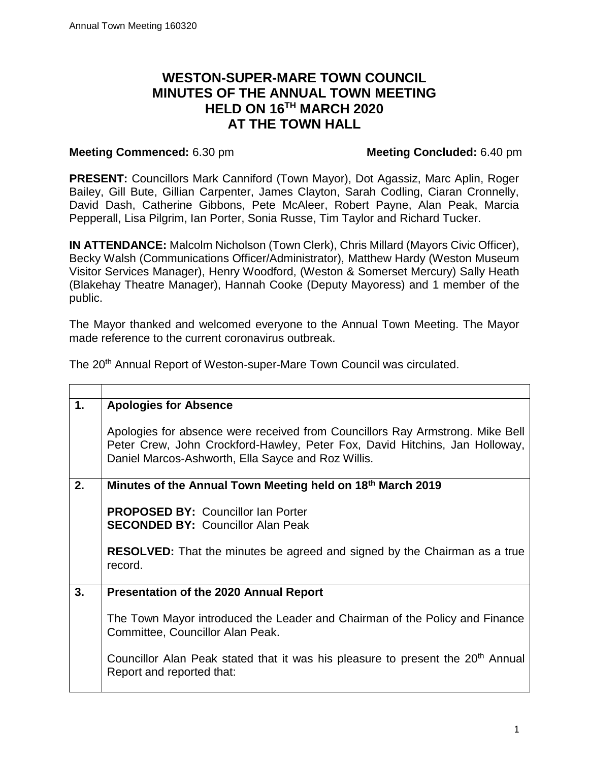## **MINUTES OF THE ANNUAL TOWN MEETING HELD ON 16TH MARCH 2020 WESTON-SUPER-MARE TOWN COUNCIL AT THE TOWN HALL**

## **Meeting Commenced:** 6.30 pm **Meeting Concluded:** 6.40 pm

 David Dash, Catherine Gibbons, Pete McAleer, Robert Payne, Alan Peak, Marcia Pepperall, Lisa Pilgrim, Ian Porter, Sonia Russe, Tim Taylor and Richard Tucker. **PRESENT:** Councillors Mark Canniford (Town Mayor), Dot Agassiz, Marc Aplin, Roger Bailey, Gill Bute, Gillian Carpenter, James Clayton, Sarah Codling, Ciaran Cronnelly,

 **IN ATTENDANCE:** Malcolm Nicholson (Town Clerk), Chris Millard (Mayors Civic Officer), Becky Walsh (Communications Officer/Administrator), Matthew Hardy (Weston Museum Visitor Services Manager), Henry Woodford, (Weston & Somerset Mercury) Sally Heath (Blakehay Theatre Manager), Hannah Cooke (Deputy Mayoress) and 1 member of the public.

 The Mayor thanked and welcomed everyone to the Annual Town Meeting. The Mayor made reference to the current coronavirus outbreak.

The 20<sup>th</sup> Annual Report of Weston-super-Mare Town Council was circulated.

| 1. | <b>Apologies for Absence</b>                                                                                                                                                                                       |
|----|--------------------------------------------------------------------------------------------------------------------------------------------------------------------------------------------------------------------|
|    | Apologies for absence were received from Councillors Ray Armstrong. Mike Bell<br>Peter Crew, John Crockford-Hawley, Peter Fox, David Hitchins, Jan Holloway,<br>Daniel Marcos-Ashworth, Ella Sayce and Roz Willis. |
| 2. | Minutes of the Annual Town Meeting held on 18 <sup>th</sup> March 2019                                                                                                                                             |
|    | <b>PROPOSED BY: Councillor Ian Porter</b><br><b>SECONDED BY: Councillor Alan Peak</b>                                                                                                                              |
|    | <b>RESOLVED:</b> That the minutes be agreed and signed by the Chairman as a true<br>record.                                                                                                                        |
| 3. | <b>Presentation of the 2020 Annual Report</b>                                                                                                                                                                      |
|    | The Town Mayor introduced the Leader and Chairman of the Policy and Finance<br>Committee, Councillor Alan Peak.                                                                                                    |
|    | Councillor Alan Peak stated that it was his pleasure to present the 20 <sup>th</sup> Annual<br>Report and reported that:                                                                                           |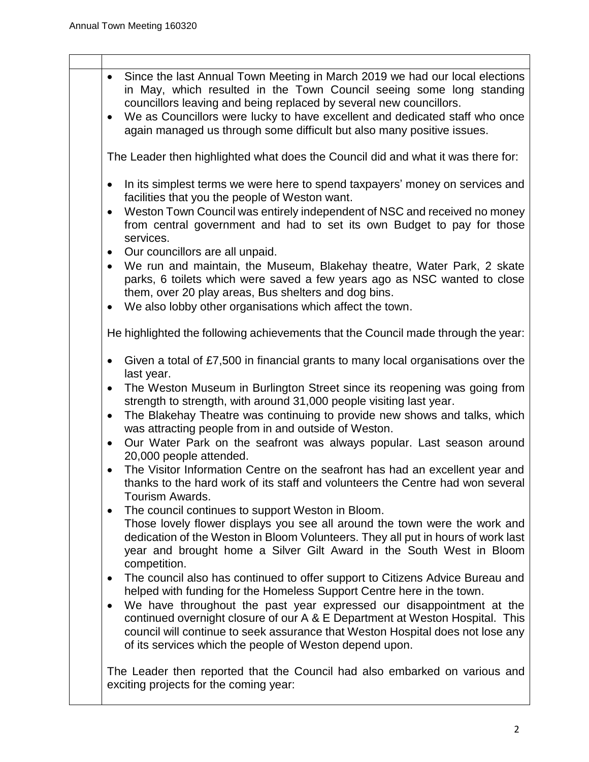| • Since the last Annual Town Meeting in March 2019 we had our local elections<br>in May, which resulted in the Town Council seeing some long standing<br>councillors leaving and being replaced by several new councillors.<br>We as Councillors were lucky to have excellent and dedicated staff who once<br>$\bullet$<br>again managed us through some difficult but also many positive issues.                                                                                                                                                                                                                                                                                                                                                                                                                                                                                                                                                                                                                                                                                                                                                                                                                               |
|---------------------------------------------------------------------------------------------------------------------------------------------------------------------------------------------------------------------------------------------------------------------------------------------------------------------------------------------------------------------------------------------------------------------------------------------------------------------------------------------------------------------------------------------------------------------------------------------------------------------------------------------------------------------------------------------------------------------------------------------------------------------------------------------------------------------------------------------------------------------------------------------------------------------------------------------------------------------------------------------------------------------------------------------------------------------------------------------------------------------------------------------------------------------------------------------------------------------------------|
| The Leader then highlighted what does the Council did and what it was there for:                                                                                                                                                                                                                                                                                                                                                                                                                                                                                                                                                                                                                                                                                                                                                                                                                                                                                                                                                                                                                                                                                                                                                |
| In its simplest terms we were here to spend taxpayers' money on services and<br>$\bullet$<br>facilities that you the people of Weston want.<br>Weston Town Council was entirely independent of NSC and received no money<br>$\bullet$<br>from central government and had to set its own Budget to pay for those<br>services.<br>• Our councillors are all unpaid.<br>We run and maintain, the Museum, Blakehay theatre, Water Park, 2 skate<br>parks, 6 toilets which were saved a few years ago as NSC wanted to close                                                                                                                                                                                                                                                                                                                                                                                                                                                                                                                                                                                                                                                                                                         |
| them, over 20 play areas, Bus shelters and dog bins.<br>We also lobby other organisations which affect the town.<br>$\bullet$                                                                                                                                                                                                                                                                                                                                                                                                                                                                                                                                                                                                                                                                                                                                                                                                                                                                                                                                                                                                                                                                                                   |
| He highlighted the following achievements that the Council made through the year:                                                                                                                                                                                                                                                                                                                                                                                                                                                                                                                                                                                                                                                                                                                                                                                                                                                                                                                                                                                                                                                                                                                                               |
| Given a total of £7,500 in financial grants to many local organisations over the<br>$\bullet$<br>last year.<br>The Weston Museum in Burlington Street since its reopening was going from<br>$\bullet$<br>strength to strength, with around 31,000 people visiting last year.<br>The Blakehay Theatre was continuing to provide new shows and talks, which<br>$\bullet$<br>was attracting people from in and outside of Weston.<br>Our Water Park on the seafront was always popular. Last season around<br>$\bullet$<br>20,000 people attended.<br>The Visitor Information Centre on the seafront has had an excellent year and<br>thanks to the hard work of its staff and volunteers the Centre had won several<br>Tourism Awards.<br>The council continues to support Weston in Bloom.<br>$\bullet$<br>Those lovely flower displays you see all around the town were the work and<br>dedication of the Weston in Bloom Volunteers. They all put in hours of work last<br>year and brought home a Silver Gilt Award in the South West in Bloom<br>competition.<br>The council also has continued to offer support to Citizens Advice Bureau and<br>٠<br>helped with funding for the Homeless Support Centre here in the town. |
| We have throughout the past year expressed our disappointment at the<br>٠<br>continued overnight closure of our A & E Department at Weston Hospital. This<br>council will continue to seek assurance that Weston Hospital does not lose any<br>of its services which the people of Weston depend upon.<br>The Leader then reported that the Council had also embarked on various and                                                                                                                                                                                                                                                                                                                                                                                                                                                                                                                                                                                                                                                                                                                                                                                                                                            |
| exciting projects for the coming year:                                                                                                                                                                                                                                                                                                                                                                                                                                                                                                                                                                                                                                                                                                                                                                                                                                                                                                                                                                                                                                                                                                                                                                                          |